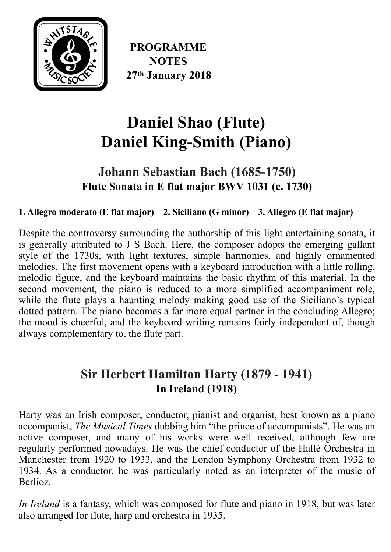

**PROGRAMME NOTES 27th January 2018**

# **Daniel Shao (Flute) Daniel King-Smith (Piano)**

### **Johann Sebastian Bach (1685-1750) Flute Sonata in E flat major BWV 1031 (c. 1730)**

**1. Allegro moderato (E flat major) 2. Siciliano (G minor) 3. Allegro (E flat major)** 

Despite the controversy surrounding the authorship of this light entertaining sonata, it is generally attributed to J S Bach. Here, the composer adopts the emerging gallant style of the 1730s, with light textures, simple harmonies, and highly ornamented melodies. The first movement opens with a keyboard introduction with a little rolling, melodic figure, and the keyboard maintains the basic rhythm of this material. In the second movement, the piano is reduced to a more simplified accompaniment role, while the flute plays a haunting melody making good use of the Siciliano's typical dotted pattern. The piano becomes a far more equal partner in the concluding Allegro; the mood is cheerful, and the keyboard writing remains fairly independent of, though always complementary to, the flute part.

## **Sir Herbert Hamilton Harty (1879 - 1941) In Ireland (1918)**

Harty was an Irish composer, conductor, pianist and organist, best known as a piano accompanist, *The Musical Times* dubbing him "the prince of accompanists". He was an active composer, and many of his works were well received, although few are regularly performed nowadays. He was the chief conductor of the Hallé Orchestra in Manchester from 1920 to 1933, and the London Symphony Orchestra from 1932 to 1934. As a conductor, he was particularly noted as an interpreter of the music of **Berlioz** 

*In Ireland* is a fantasy, which was composed for flute and piano in 1918, but was later also arranged for flute, harp and orchestra in 1935.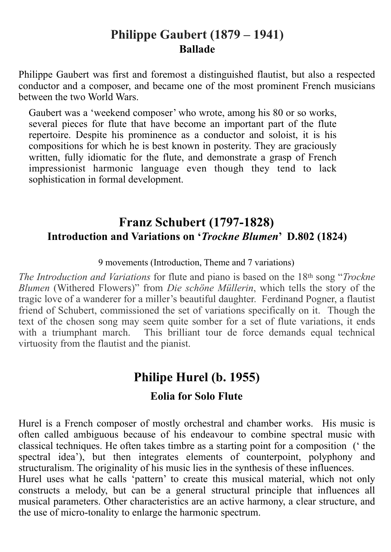#### **Philippe Gaubert (1879 – 1941) Ballade**

[Philippe Gaubert](https://www.allmusic.com/artist/philippe-gaubert-mn0000800839) was first and foremost a distinguished flautist, but also a respected conductor and a composer, and became one of the most prominent French musicians between the two World Wars.

[Gaubert](https://www.allmusic.com/artist/gaubert-mn0000800839) was a 'weekend composer' who wrote, among his 80 or so works, several pieces for flute that have become an important part of the flute repertoire. Despite his prominence as a conductor and soloist, it is his compositions for which he is best known in posterity. They are graciously written, fully idiomatic for the flute, and demonstrate a grasp of French impressionist harmonic language even though they tend to lack sophistication in formal development.

#### **Franz Schubert (1797-1828) Introduction and Variations on '***Trockne Blumen***' D.802 (1824)**

9 movements (Introduction, Theme and 7 variations)

*The Introduction and Variations* for flute and piano is based on the 18th song "*Trockne Blumen* (Withered Flowers)" from *Die schöne Müllerin*, which tells the story of the tragic love of a wanderer for a miller's beautiful daughter. Ferdinand Pogner, a flautist friend of Schubert, commissioned the set of variations specifically on it. Though the text of the chosen song may seem quite somber for a set of flute variations, it ends with a triumphant march. This brilliant tour de force demands equal technical virtuosity from the flautist and the pianist.

# **Philipe Hurel (b. 1955)**

#### **Eolia for Solo Flute**

Hurel is a French composer of mostly orchestral and chamber works. His music is often called ambiguous because of his endeavour to combine spectral music with classical techniques. He often takes timbre as a starting point for a composition (' the spectral idea'), but then integrates elements of counterpoint, polyphony and structuralism. The originality of his music lies in the synthesis of these influences.

Hurel uses what he calls 'pattern' to create this musical material, which not only constructs a melody, but can be a general structural principle that influences all musical parameters. Other characteristics are an active harmony, a clear structure, and the use of micro-tonality to enlarge the harmonic spectrum.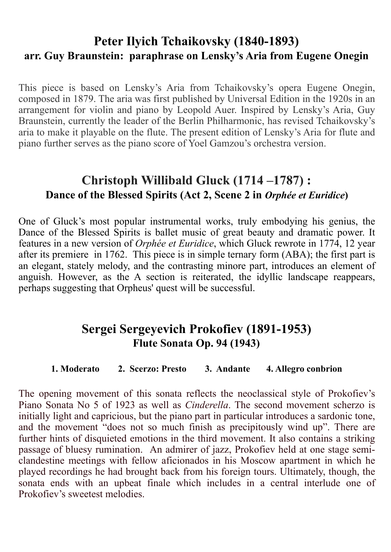#### **Peter Ilyich Tchaikovsky (1840-1893) arr. Guy Braunstein: paraphrase on Lensky's Aria from Eugene Onegin**

This piece is based on Lensky's Aria from Tchaikovsky's opera Eugene Onegin, composed in 1879. The aria was first published by Universal Edition in the 1920s in an arrangement for violin and piano by Leopold Auer. Inspired by Lensky's Aria, Guy Braunstein, currently the leader of the Berlin Philharmonic, has revised Tchaikovsky's aria to make it playable on the flute. The present edition of Lensky's Aria for flute and piano further serves as the piano score of Yoel Gamzou's orchestra version.

### **Christoph Willibald Gluck (1714 –1787) : Dance of the Blessed Spirits (Act 2, Scene 2 in** *Orphée et Euridice***)**

One of Gluck's most popular instrumental works, truly embodying his genius, the Dance of the Blessed Spirits is ballet music of great beauty and dramatic power. It features in a new version of *Orphée et Euridice*, which Gluck rewrote in 1774, 12 year after its premiere in 1762. This piece is in simple ternary form (ABA); the first part is an elegant, stately melody, and the contrasting minore part, introduces an element of anguish. However, as the A section is reiterated, the idyllic landscape reappears, perhaps suggesting that Orpheus' quest will be successful.

#### **Sergei Sergeyevich Prokofiev (1891-1953) Flute Sonata Op. 94 (1943)**

#### **1. Moderato 2. Scerzo: Presto 3. Andante 4. Allegro conbrion**

The opening movement of this sonata reflects the neoclassical style of Prokofiev's Piano Sonata No 5 of 1923 as well as *Cinderella*. The second movement scherzo is initially light and capricious, but the piano part in particular introduces a sardonic tone, and the movement "does not so much finish as precipitously wind up". There are further hints of disquieted emotions in the third movement. It also contains a striking passage of bluesy rumination. An admirer of jazz, Prokofiev held at one stage semiclandestine meetings with fellow aficionados in his Moscow apartment in which he played recordings he had brought back from his foreign tours. Ultimately, though, the sonata ends with an upbeat finale which includes in a central interlude one of Prokofiev's sweetest melodies.